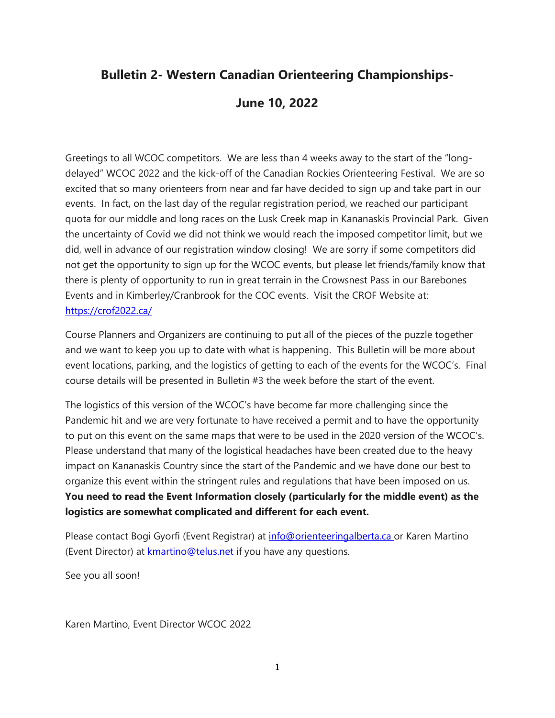# **Bulletin 2- Western Canadian Orienteering Championships-**

## **June 10, 2022**

Greetings to all WCOC competitors. We are less than 4 weeks away to the start of the "longdelayed" WCOC 2022 and the kick-off of the Canadian Rockies Orienteering Festival. We are so excited that so many orienteers from near and far have decided to sign up and take part in our events. In fact, on the last day of the regular registration period, we reached our participant quota for our middle and long races on the Lusk Creek map in Kananaskis Provincial Park. Given the uncertainty of Covid we did not think we would reach the imposed competitor limit, but we did, well in advance of our registration window closing! We are sorry if some competitors did not get the opportunity to sign up for the WCOC events, but please let friends/family know that there is plenty of opportunity to run in great terrain in the Crowsnest Pass in our Barebones Events and in Kimberley/Cranbrook for the COC events. Visit the CROF Website at: <https://crof2022.ca/>

Course Planners and Organizers are continuing to put all of the pieces of the puzzle together and we want to keep you up to date with what is happening. This Bulletin will be more about event locations, parking, and the logistics of getting to each of the events for the WCOC's. Final course details will be presented in Bulletin #3 the week before the start of the event.

The logistics of this version of the WCOC's have become far more challenging since the Pandemic hit and we are very fortunate to have received a permit and to have the opportunity to put on this event on the same maps that were to be used in the 2020 version of the WCOC's. Please understand that many of the logistical headaches have been created due to the heavy impact on Kananaskis Country since the start of the Pandemic and we have done our best to organize this event within the stringent rules and regulations that have been imposed on us. **You need to read the Event Information closely (particularly for the middle event) as the logistics are somewhat complicated and different for each event.** 

Please contact Bogi Gyorfi (Event Registrar) at [info@orienteeringalberta.ca](mailto:info@orienteeringalberta.ca) or Karen Martino (Event Director) at **kmartino@telus.net** if you have any questions.

See you all soon!

Karen Martino, Event Director WCOC 2022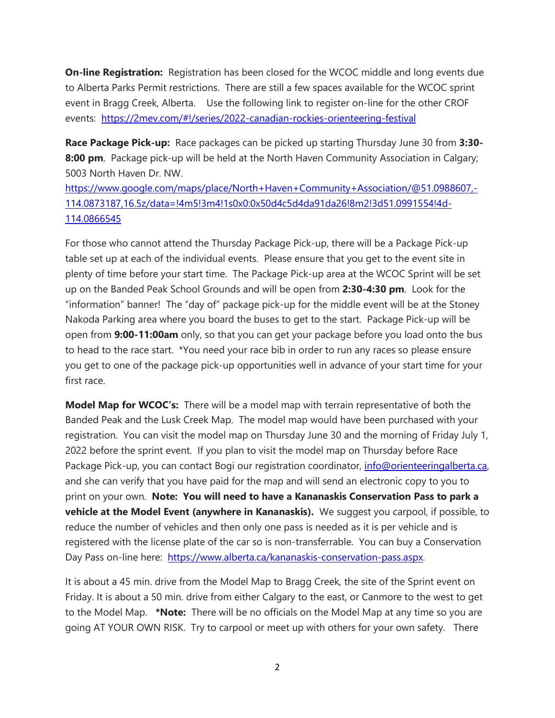**On-line Registration:** Registration has been closed for the WCOC middle and long events due to Alberta Parks Permit restrictions. There are still a few spaces available for the WCOC sprint event in Bragg Creek, Alberta. Use the following link to register on-line for the other CROF events: <https://2mev.com/#!/series/2022-canadian-rockies-orienteering-festival>

**Race Package Pick-up:** Race packages can be picked up starting Thursday June 30 from **3:30- 8:00 pm**. Package pick-up will be held at the North Haven Community Association in Calgary; 5003 North Haven Dr. NW.

[https://www.google.com/maps/place/North+Haven+Community+Association/@51.0988607,-](https://www.google.com/maps/place/North+Haven+Community+Association/@51.0988607,-114.0873187,16.5z/data=!4m5!3m4!1s0x0:0x50d4c5d4da91da26!8m2!3d51.0991554!4d-114.0866545) [114.0873187,16.5z/data=!4m5!3m4!1s0x0:0x50d4c5d4da91da26!8m2!3d51.0991554!4d-](https://www.google.com/maps/place/North+Haven+Community+Association/@51.0988607,-114.0873187,16.5z/data=!4m5!3m4!1s0x0:0x50d4c5d4da91da26!8m2!3d51.0991554!4d-114.0866545)[114.0866545](https://www.google.com/maps/place/North+Haven+Community+Association/@51.0988607,-114.0873187,16.5z/data=!4m5!3m4!1s0x0:0x50d4c5d4da91da26!8m2!3d51.0991554!4d-114.0866545)

For those who cannot attend the Thursday Package Pick-up, there will be a Package Pick-up table set up at each of the individual events. Please ensure that you get to the event site in plenty of time before your start time. The Package Pick-up area at the WCOC Sprint will be set up on the Banded Peak School Grounds and will be open from **2:30-4:30 pm**. Look for the "information" banner! The "day of" package pick-up for the middle event will be at the Stoney Nakoda Parking area where you board the buses to get to the start. Package Pick-up will be open from **9:00-11:00am** only, so that you can get your package before you load onto the bus to head to the race start. \*You need your race bib in order to run any races so please ensure you get to one of the package pick-up opportunities well in advance of your start time for your first race.

**Model Map for WCOC's:** There will be a model map with terrain representative of both the Banded Peak and the Lusk Creek Map. The model map would have been purchased with your registration. You can visit the model map on Thursday June 30 and the morning of Friday July 1, 2022 before the sprint event. If you plan to visit the model map on Thursday before Race Package Pick-up, you can contact Bogi our registration coordinator, info@orienteeringalberta.ca, and she can verify that you have paid for the map and will send an electronic copy to you to print on your own. **Note: You will need to have a Kananaskis Conservation Pass to park a vehicle at the Model Event (anywhere in Kananaskis).** We suggest you carpool, if possible, to reduce the number of vehicles and then only one pass is needed as it is per vehicle and is registered with the license plate of the car so is non-transferrable. You can buy a Conservation Day Pass on-line here: [https://www.alberta.ca/kananaskis-conservation-pass.aspx.](https://www.alberta.ca/kananaskis-conservation-pass.aspx)

It is about a 45 min. drive from the Model Map to Bragg Creek, the site of the Sprint event on Friday. It is about a 50 min. drive from either Calgary to the east, or Canmore to the west to get to the Model Map. **\*Note:** There will be no officials on the Model Map at any time so you are going AT YOUR OWN RISK. Try to carpool or meet up with others for your own safety. There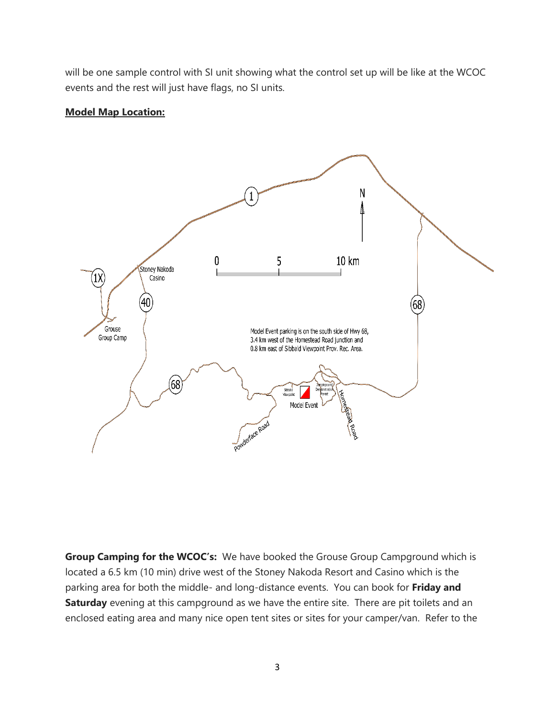will be one sample control with SI unit showing what the control set up will be like at the WCOC events and the rest will just have flags, no SI units.

#### **Model Map Location:**



**Group Camping for the WCOC's:** We have booked the Grouse Group Campground which is located a 6.5 km (10 min) drive west of the Stoney Nakoda Resort and Casino which is the parking area for both the middle- and long-distance events. You can book for **Friday and Saturday** evening at this campground as we have the entire site. There are pit toilets and an enclosed eating area and many nice open tent sites or sites for your camper/van. Refer to the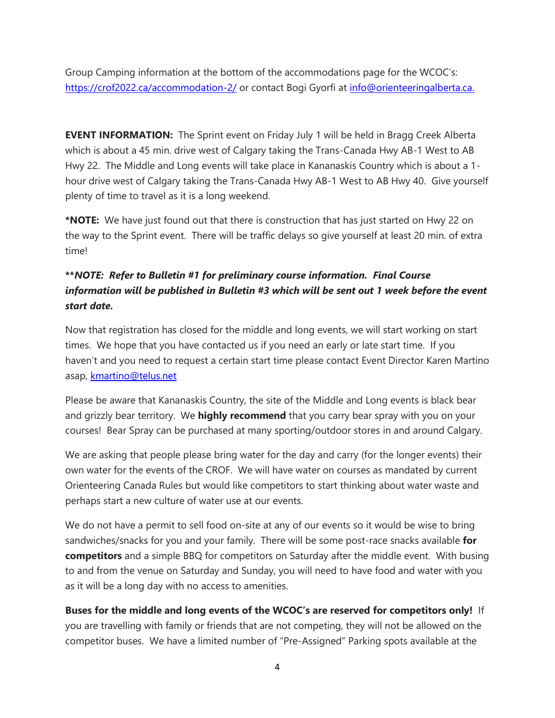Group Camping information at the bottom of the accommodations page for the WCOC's: <https://crof2022.ca/accommodation-2/> or contact Bogi Gyorfi at [info@orienteeringalberta.ca.](mailto:info@orienteeringalberta.ca)

**EVENT INFORMATION:** The Sprint event on Friday July 1 will be held in Bragg Creek Alberta which is about a 45 min. drive west of Calgary taking the Trans-Canada Hwy AB-1 West to AB Hwy 22. The Middle and Long events will take place in Kananaskis Country which is about a 1 hour drive west of Calgary taking the Trans-Canada Hwy AB-1 West to AB Hwy 40. Give yourself plenty of time to travel as it is a long weekend.

**\*NOTE:** We have just found out that there is construction that has just started on Hwy 22 on the way to the Sprint event. There will be traffic delays so give yourself at least 20 min. of extra time!

### **\*\****NOTE: Refer to Bulletin #1 for preliminary course information. Final Course information will be published in Bulletin #3 which will be sent out 1 week before the event start date.*

Now that registration has closed for the middle and long events, we will start working on start times. We hope that you have contacted us if you need an early or late start time. If you haven't and you need to request a certain start time please contact Event Director Karen Martino asap, [kmartino@telus.net](mailto:kmartino@telus.net)

Please be aware that Kananaskis Country, the site of the Middle and Long events is black bear and grizzly bear territory. We **highly recommend** that you carry bear spray with you on your courses! Bear Spray can be purchased at many sporting/outdoor stores in and around Calgary.

We are asking that people please bring water for the day and carry (for the longer events) their own water for the events of the CROF. We will have water on courses as mandated by current Orienteering Canada Rules but would like competitors to start thinking about water waste and perhaps start a new culture of water use at our events.

We do not have a permit to sell food on-site at any of our events so it would be wise to bring sandwiches/snacks for you and your family. There will be some post-race snacks available **for competitors** and a simple BBQ for competitors on Saturday after the middle event. With busing to and from the venue on Saturday and Sunday, you will need to have food and water with you as it will be a long day with no access to amenities.

**Buses for the middle and long events of the WCOC's are reserved for competitors only!** If you are travelling with family or friends that are not competing, they will not be allowed on the competitor buses. We have a limited number of "Pre-Assigned" Parking spots available at the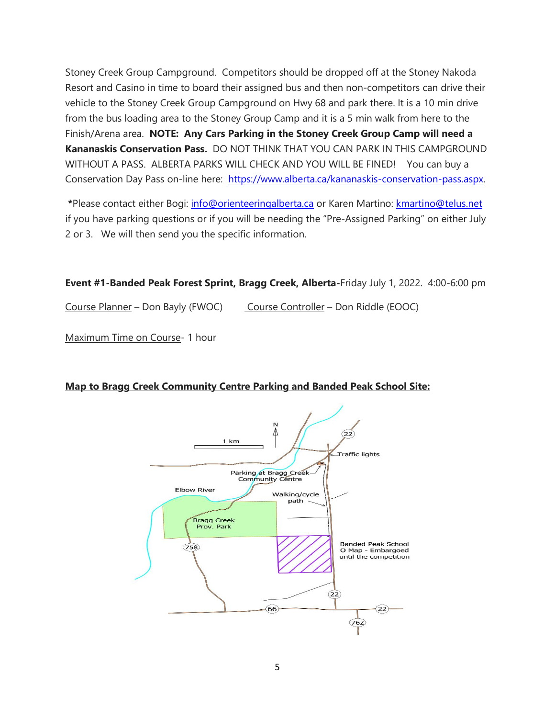Stoney Creek Group Campground. Competitors should be dropped off at the Stoney Nakoda Resort and Casino in time to board their assigned bus and then non-competitors can drive their vehicle to the Stoney Creek Group Campground on Hwy 68 and park there. It is a 10 min drive from the bus loading area to the Stoney Group Camp and it is a 5 min walk from here to the Finish/Arena area. **NOTE: Any Cars Parking in the Stoney Creek Group Camp will need a Kananaskis Conservation Pass.** DO NOT THINK THAT YOU CAN PARK IN THIS CAMPGROUND WITHOUT A PASS. ALBERTA PARKS WILL CHECK AND YOU WILL BE FINED! You can buy a Conservation Day Pass on-line here: [https://www.alberta.ca/kananaskis-conservation-pass.aspx.](https://www.alberta.ca/kananaskis-conservation-pass.aspx)

**\***Please contact either Bogi: [info@orienteeringalberta.ca](mailto:info@orienteeringalberta.ca) or Karen Martino: [kmartino@telus.net](mailto:kmartino@telus.net) if you have parking questions or if you will be needing the "Pre-Assigned Parking" on either July 2 or 3. We will then send you the specific information.

**Event #1-Banded Peak Forest Sprint, Bragg Creek, Alberta-**Friday July 1, 2022. 4:00-6:00 pm

Course Planner – Don Bayly (FWOC) Course Controller – Don Riddle (EOOC)

Maximum Time on Course- 1 hour

#### **Map to Bragg Creek Community Centre Parking and Banded Peak School Site:**

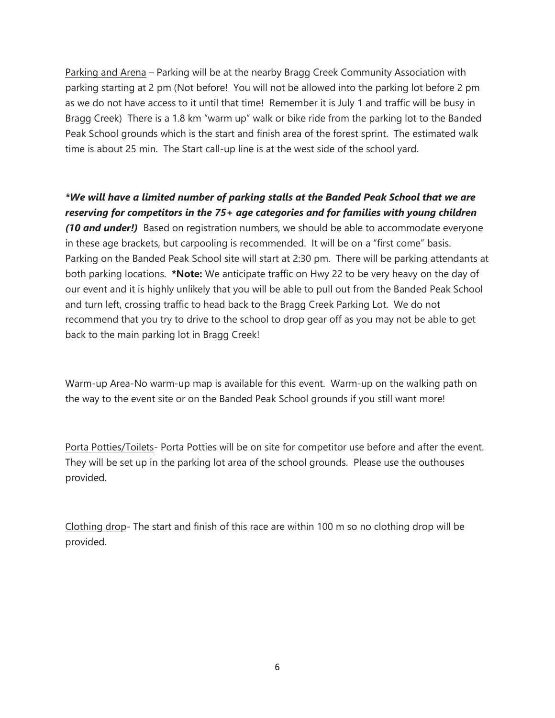Parking and Arena - Parking will be at the nearby Bragg Creek Community Association with parking starting at 2 pm (Not before! You will not be allowed into the parking lot before 2 pm as we do not have access to it until that time! Remember it is July 1 and traffic will be busy in Bragg Creek) There is a 1.8 km "warm up" walk or bike ride from the parking lot to the Banded Peak School grounds which is the start and finish area of the forest sprint. The estimated walk time is about 25 min. The Start call-up line is at the west side of the school yard.

### *\*We will have a limited number of parking stalls at the Banded Peak School that we are reserving for competitors in the 75+ age categories and for families with young children*

*(10 and under!)* Based on registration numbers, we should be able to accommodate everyone in these age brackets, but carpooling is recommended. It will be on a "first come" basis. Parking on the Banded Peak School site will start at 2:30 pm. There will be parking attendants at both parking locations. **\*Note:** We anticipate traffic on Hwy 22 to be very heavy on the day of our event and it is highly unlikely that you will be able to pull out from the Banded Peak School and turn left, crossing traffic to head back to the Bragg Creek Parking Lot. We do not recommend that you try to drive to the school to drop gear off as you may not be able to get back to the main parking lot in Bragg Creek!

Warm-up Area-No warm-up map is available for this event. Warm-up on the walking path on the way to the event site or on the Banded Peak School grounds if you still want more!

Porta Potties/Toilets- Porta Potties will be on site for competitor use before and after the event. They will be set up in the parking lot area of the school grounds. Please use the outhouses provided.

Clothing drop- The start and finish of this race are within 100 m so no clothing drop will be provided.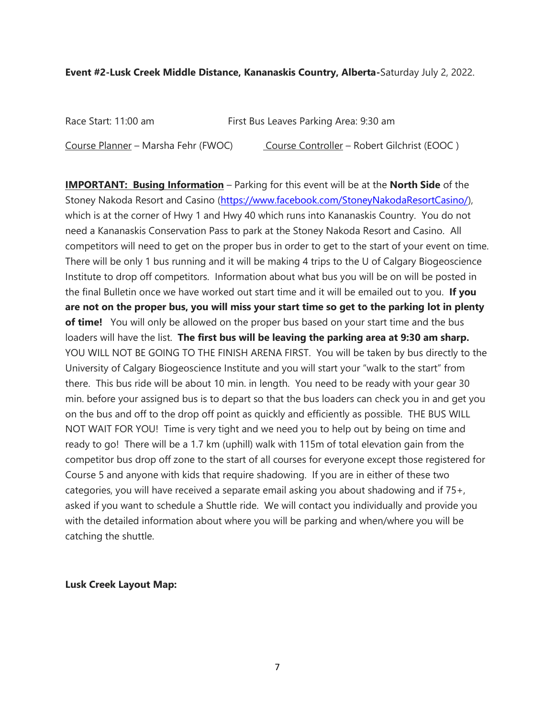#### **Event #2-Lusk Creek Middle Distance, Kananaskis Country, Alberta-**Saturday July 2, 2022.

| Race Start: 11:00 am                | First Bus Leaves Parking Area: 9:30 am      |
|-------------------------------------|---------------------------------------------|
| Course Planner – Marsha Fehr (FWOC) | Course Controller – Robert Gilchrist (EOOC) |

**IMPORTANT: Busing Information** – Parking for this event will be at the **North Side** of the Stoney Nakoda Resort and Casino [\(https://www.facebook.com/StoneyNakodaResortCasino/\)](https://www.facebook.com/StoneyNakodaResortCasino/), which is at the corner of Hwy 1 and Hwy 40 which runs into Kananaskis Country. You do not need a Kananaskis Conservation Pass to park at the Stoney Nakoda Resort and Casino. All competitors will need to get on the proper bus in order to get to the start of your event on time. There will be only 1 bus running and it will be making 4 trips to the U of Calgary Biogeoscience Institute to drop off competitors. Information about what bus you will be on will be posted in the final Bulletin once we have worked out start time and it will be emailed out to you. **If you are not on the proper bus, you will miss your start time so get to the parking lot in plenty of time!** You will only be allowed on the proper bus based on your start time and the bus loaders will have the list. **The first bus will be leaving the parking area at 9:30 am sharp.** YOU WILL NOT BE GOING TO THE FINISH ARENA FIRST. You will be taken by bus directly to the University of Calgary Biogeoscience Institute and you will start your "walk to the start" from there. This bus ride will be about 10 min. in length. You need to be ready with your gear 30 min. before your assigned bus is to depart so that the bus loaders can check you in and get you on the bus and off to the drop off point as quickly and efficiently as possible. THE BUS WILL NOT WAIT FOR YOU! Time is very tight and we need you to help out by being on time and ready to go! There will be a 1.7 km (uphill) walk with 115m of total elevation gain from the competitor bus drop off zone to the start of all courses for everyone except those registered for Course 5 and anyone with kids that require shadowing. If you are in either of these two categories, you will have received a separate email asking you about shadowing and if 75+, asked if you want to schedule a Shuttle ride. We will contact you individually and provide you with the detailed information about where you will be parking and when/where you will be catching the shuttle.

**Lusk Creek Layout Map:**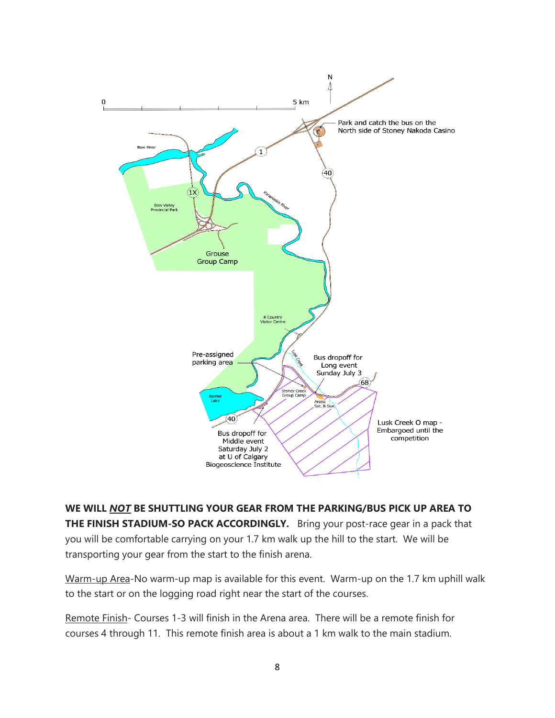

**WE WILL** *NOT* **BE SHUTTLING YOUR GEAR FROM THE PARKING/BUS PICK UP AREA TO THE FINISH STADIUM-SO PACK ACCORDINGLY.** Bring your post-race gear in a pack that you will be comfortable carrying on your 1.7 km walk up the hill to the start. We will be transporting your gear from the start to the finish arena.

Warm-up Area-No warm-up map is available for this event. Warm-up on the 1.7 km uphill walk to the start or on the logging road right near the start of the courses.

Remote Finish- Courses 1-3 will finish in the Arena area. There will be a remote finish for courses 4 through 11. This remote finish area is about a 1 km walk to the main stadium.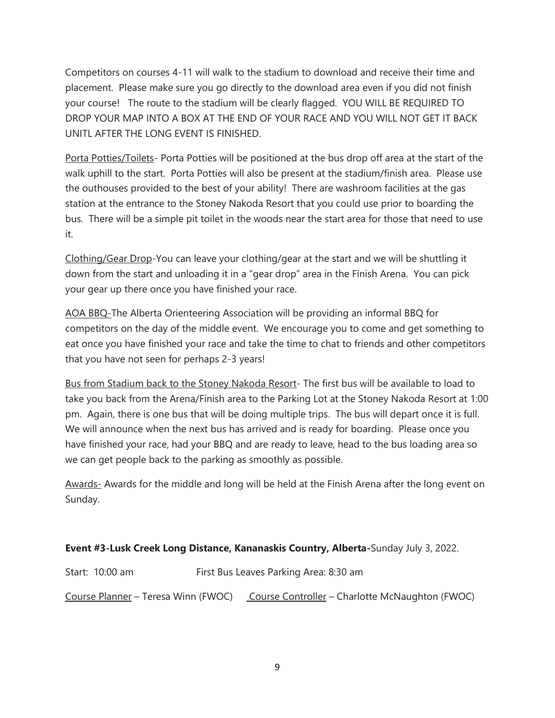Competitors on courses 4-11 will walk to the stadium to download and receive their time and placement. Please make sure you go directly to the download area even if you did not finish your course! The route to the stadium will be clearly flagged. YOU WILL BE REQUIRED TO DROP YOUR MAP INTO A BOX AT THE END OF YOUR RACE AND YOU WILL NOT GET IT BACK UNITL AFTER THE LONG EVENT IS FINISHED.

Porta Potties/Toilets- Porta Potties will be positioned at the bus drop off area at the start of the walk uphill to the start. Porta Potties will also be present at the stadium/finish area. Please use the outhouses provided to the best of your ability! There are washroom facilities at the gas station at the entrance to the Stoney Nakoda Resort that you could use prior to boarding the bus. There will be a simple pit toilet in the woods near the start area for those that need to use it.

Clothing/Gear Drop-You can leave your clothing/gear at the start and we will be shuttling it down from the start and unloading it in a "gear drop" area in the Finish Arena. You can pick your gear up there once you have finished your race.

AOA BBQ-The Alberta Orienteering Association will be providing an informal BBQ for competitors on the day of the middle event. We encourage you to come and get something to eat once you have finished your race and take the time to chat to friends and other competitors that you have not seen for perhaps 2-3 years!

Bus from Stadium back to the Stoney Nakoda Resort- The first bus will be available to load to take you back from the Arena/Finish area to the Parking Lot at the Stoney Nakoda Resort at 1:00 pm. Again, there is one bus that will be doing multiple trips. The bus will depart once it is full. We will announce when the next bus has arrived and is ready for boarding. Please once you have finished your race, had your BBQ and are ready to leave, head to the bus loading area so we can get people back to the parking as smoothly as possible.

Awards- Awards for the middle and long will be held at the Finish Arena after the long event on Sunday.

#### **Event #3-Lusk Creek Long Distance, Kananaskis Country, Alberta-**Sunday July 3, 2022.

Start: 10:00 am First Bus Leaves Parking Area: 8:30 am Course Planner - Teresa Winn (FWOC) Course Controller - Charlotte McNaughton (FWOC)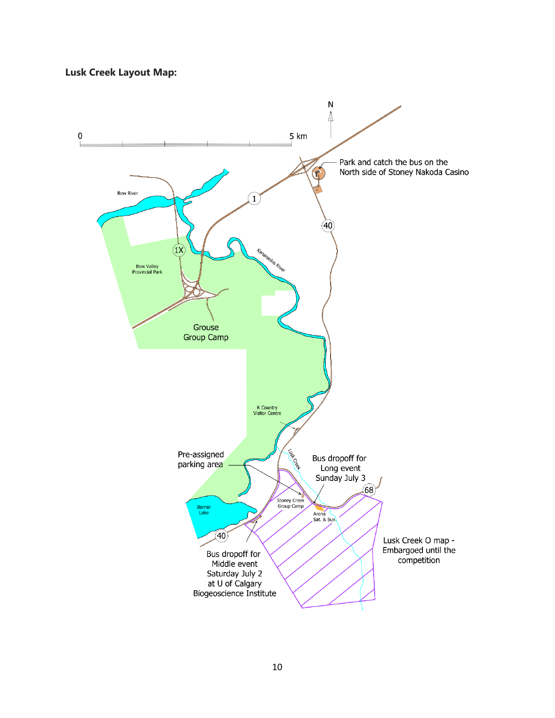#### **Lusk Creek Layout Map:**